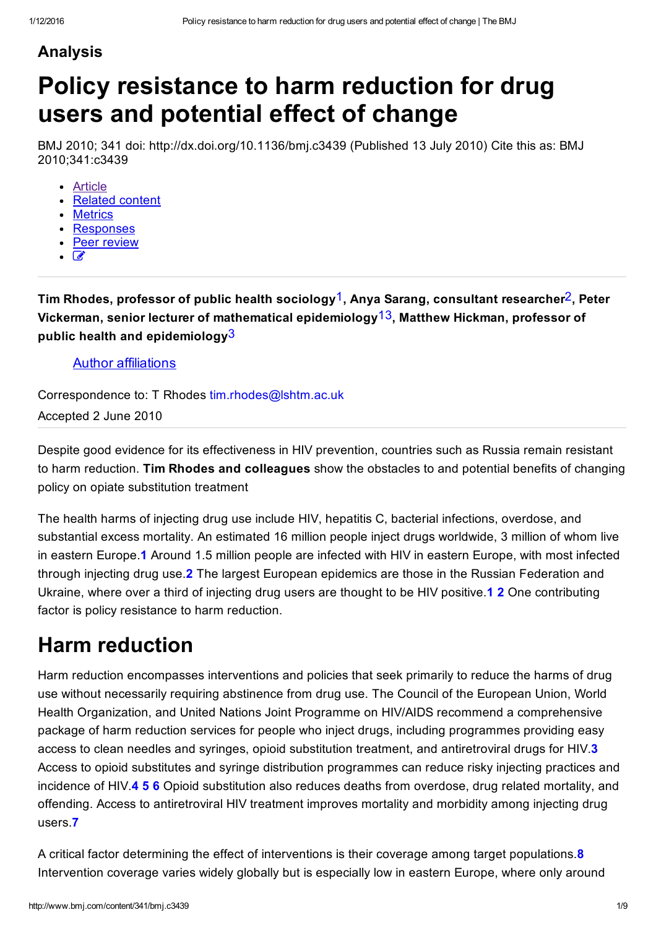#### Analysis

# Policy resistance to harm reduction for drug users and potential effect of change

BMJ 2010; 341 doi: http://dx.doi.org/10.1136/bmj.c3439 (Published 13 July 2010) Cite this as: BMJ 2010;341:c3439

- [Article](http://www.bmj.com/content/341/bmj.c3439)
- [Related](http://www.bmj.com/content/341/bmj.c3439/related) content
- **[Metrics](http://www.bmj.com/content/341/bmj.c3439/article-info)**
- [Responses](http://www.bmj.com/content/341/bmj.c3439/rapid-responses)
- Peer [review](http://www.bmj.com/content/341/bmj.c3439/peer-review)
- $\mathcal{C}$

Tim Rhodes, professor of public health sociology<sup>1</sup>, Anya Sarang, consultant researcher<sup>2</sup>, Peter Vickerman, senior lecturer of mathematical epidemiology<sup>13</sup>, Matthew Hickman, professor of public health and epidemiology $3$ 

#### Author affiliations

Correspondence to: T Rhodes [tim.rhodes@lshtm.ac.uk](mailto:tim.rhodes@lshtm.ac.uk)

Accepted 2 June 2010

Despite good evidence for its effectiveness in HIV prevention, countries such as Russia remain resistant to harm reduction. Tim Rhodes and colleagues show the obstacles to and potential benefits of changing policy on opiate substitution treatment

<span id="page-0-1"></span><span id="page-0-0"></span>The health harms of injecting drug use include HIV, hepatitis C, bacterial infections, overdose, and substantial excess mortality. An estimated 16 million people inject drugs worldwide, 3 million of whom live in eastern Europe.1 Around 1.5 million people are infected with HIV in eastern Europe, with most infected through injecting drug use.2 The largest European epidemics are those in the Russian Federation and Ukraine, where over a third of injecting drug users are thought to be HIV positive. 1 2 One contributing factor is policy resistance to harm reduction.

#### Harm reduction

<span id="page-0-2"></span>Harm reduction encompasses interventions and policies that seek primarily to reduce the harms of drug use without necessarily requiring abstinence from drug use. The Council of the European Union, World Health Organization, and United Nations Joint Programme on HIV/AIDS recommend a comprehensive package of harm reduction services for people who inject drugs, including programmes providing easy access to clean needles and syringes, opioid substitution treatment, and antiretroviral drugs for HIV.3 Access to opioid substitutes and syringe distribution programmes can reduce risky injecting practices and incidence of HIV.4 5 6 Opioid substitution also reduces deaths from overdose, drug related mortality, and offending. Access to antiretroviral HIV treatment improves mortality and morbidity among injecting drug users.7

<span id="page-0-7"></span><span id="page-0-6"></span><span id="page-0-5"></span><span id="page-0-4"></span><span id="page-0-3"></span>A critical factor determining the effect of interventions is their coverage among target populations.<sup>8</sup> Intervention coverage varies widely globally but is especially low in eastern Europe, where only around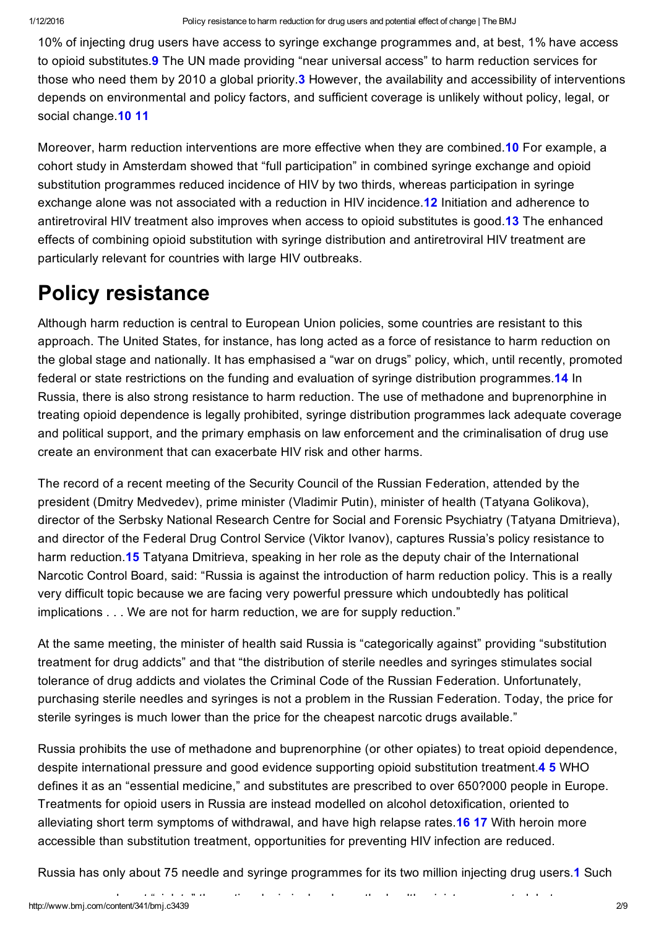10% of injecting drug users have access to syringe exchange programmes and, at best, 1% have access to opioid substitutes.<sup>9</sup> The UN made providing "near universal access" to harm reduction services for those who need them by 2010 a global priority.<sup>3</sup> However, the availability and accessibility of interventions depends on environmental and policy factors, and sufficient coverage is unlikely without policy, legal, or social change.<sup>10</sup> 11

Moreover, harm reduction interventions are more effective when they are combined.10 For example, a cohort study in Amsterdam showed that "full participation" in combined syringe exchange and opioid substitution programmes reduced incidence of HIV by two thirds, whereas participation in syringe exchange alone was not associated with a reduction in HIV incidence.12 Initiation and adherence to antiretroviral HIV treatment also improves when access to opioid substitutes is good.13 The enhanced effects of combining opioid substitution with syringe distribution and antiretroviral HIV treatment are particularly relevant for countries with large HIV outbreaks.

### Policy resistance

Although harm reduction is central to European Union policies, some countries are resistant to this approach. The United States, for instance, has long acted as a force of resistance to harm reduction on the global stage and nationally. It has emphasised a "war on drugs" policy, which, until recently, promoted federal or state restrictions on the funding and evaluation of syringe distribution programmes.14 In Russia, there is also strong resistance to harm reduction. The use of methadone and buprenorphine in treating opioid dependence is legally prohibited, syringe distribution programmes lack adequate coverage and political support, and the primary emphasis on law enforcement and the criminalisation of drug use create an environment that can exacerbate HIV risk and other harms.

The record of a recent meeting of the Security Council of the Russian Federation, attended by the president (Dmitry Medvedev), prime minister (Vladimir Putin), minister of health (Tatyana Golikova), director of the Serbsky National Research Centre for Social and Forensic Psychiatry (Tatyana Dmitrieva), and director of the Federal Drug Control Service (Viktor Ivanov), captures Russia's policy resistance to harm reduction.15 Tatyana Dmitrieva, speaking in her role as the deputy chair of the International Narcotic Control Board, said: "Russia is against the introduction of harm reduction policy. This is a really very difficult topic because we are facing very powerful pressure which undoubtedly has political implications . . . We are not for harm reduction, we are for supply reduction."

At the same meeting, the minister of health said Russia is "categorically against" providing "substitution treatment for drug addicts" and that "the distribution of sterile needles and syringes stimulates social tolerance of drug addicts and violates the Criminal Code of the Russian Federation. Unfortunately, purchasing sterile needles and syringes is not a problem in the Russian Federation. Today, the price for sterile syringes is much lower than the price for the cheapest narcotic drugs available."

Russia prohibits the use of methadone and buprenorphine (or other opiates) to treat opioid dependence, despite international pressure and good evidence supporting opioid substitution treatment.4 5 WHO defines it as an "essential medicine," and substitutes are prescribed to over 650?000 people in Europe. Treatments for opioid users in Russia are instead modelled on alcohol detoxification, oriented to alleviating short term symptoms of withdrawal, and have high relapse rates.16 17 With heroin more accessible than substitution treatment, opportunities for preventing HIV infection are reduced.

<span id="page-1-0"></span>Russia has only about 75 needle and syringe programmes for its two million injecting drug users.1 Such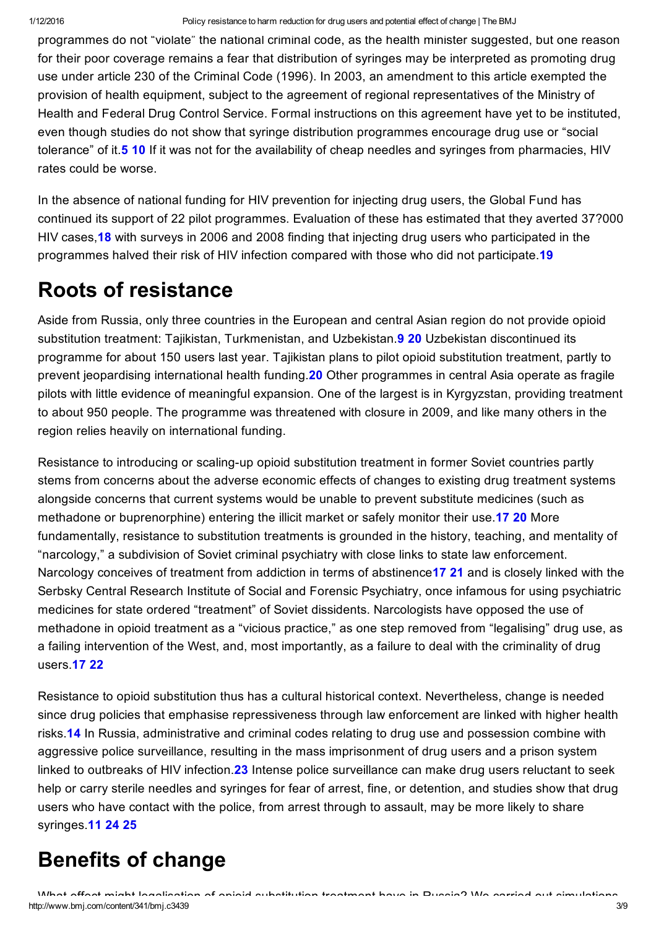programmes do not "violate" the national criminal code, as the health minister suggested, but one reason for their poor coverage remains a fear that distribution of syringes may be interpreted as promoting drug use under article 230 of the Criminal Code (1996). In 2003, an amendment to this article exempted the provision of health equipment, subject to the agreement of regional representatives of the Ministry of Health and Federal Drug Control Service. Formal instructions on this agreement have yet to be instituted, even though studies do not show that syringe distribution programmes encourage drug use or "social tolerance" of it.5 10 If it was not for the availability of cheap needles and syringes from pharmacies, HIV rates could be worse.

In the absence of national funding for HIV prevention for injecting drug users, the Global Fund has continued its support of 22 pilot programmes. Evaluation of these has estimated that they averted 37?000 HIV cases, 18 with surveys in 2006 and 2008 finding that injecting drug users who participated in the programmes halved their risk of HIV infection compared with those who did not participate.19

### Roots of resistance

Aside from Russia, only three countries in the European and central Asian region do not provide opioid substitution treatment: Tajikistan, Turkmenistan, and Uzbekistan.<sup>9</sup> 20 Uzbekistan discontinued its programme for about 150 users last year. Tajikistan plans to pilot opioid substitution treatment, partly to prevent jeopardising international health funding.<sup>20</sup> Other programmes in central Asia operate as fragile pilots with little evidence of meaningful expansion. One of the largest is in Kyrgyzstan, providing treatment to about 950 people. The programme was threatened with closure in 2009, and like many others in the region relies heavily on international funding.

Resistance to introducing or scaling-up opioid substitution treatment in former Soviet countries partly stems from concerns about the adverse economic effects of changes to existing drug treatment systems alongside concerns that current systems would be unable to prevent substitute medicines (such as methadone or buprenorphine) entering the illicit market or safely monitor their use.17 20 More fundamentally, resistance to substitution treatments is grounded in the history, teaching, and mentality of "narcology," a subdivision of Soviet criminal psychiatry with close links to state law enforcement. Narcology conceives of treatment from addiction in terms of abstinence 17 21 and is closely linked with the Serbsky Central Research Institute of Social and Forensic Psychiatry, once infamous for using psychiatric medicines for state ordered "treatment" of Soviet dissidents. Narcologists have opposed the use of methadone in opioid treatment as a "vicious practice," as one step removed from "legalising" drug use, as a failing intervention of the West, and, most importantly, as a failure to deal with the criminality of drug users.17 22

Resistance to opioid substitution thus has a cultural historical context. Nevertheless, change is needed since drug policies that emphasise repressiveness through law enforcement are linked with higher health risks.14 In Russia, administrative and criminal codes relating to drug use and possession combine with aggressive police surveillance, resulting in the mass imprisonment of drug users and a prison system linked to outbreaks of HIV infection.23 Intense police surveillance can make drug users reluctant to seek help or carry sterile needles and syringes for fear of arrest, fine, or detention, and studies show that drug users who have contact with the police, from arrest through to assault, may be more likely to share syringes.11 24 25

### Benefits of change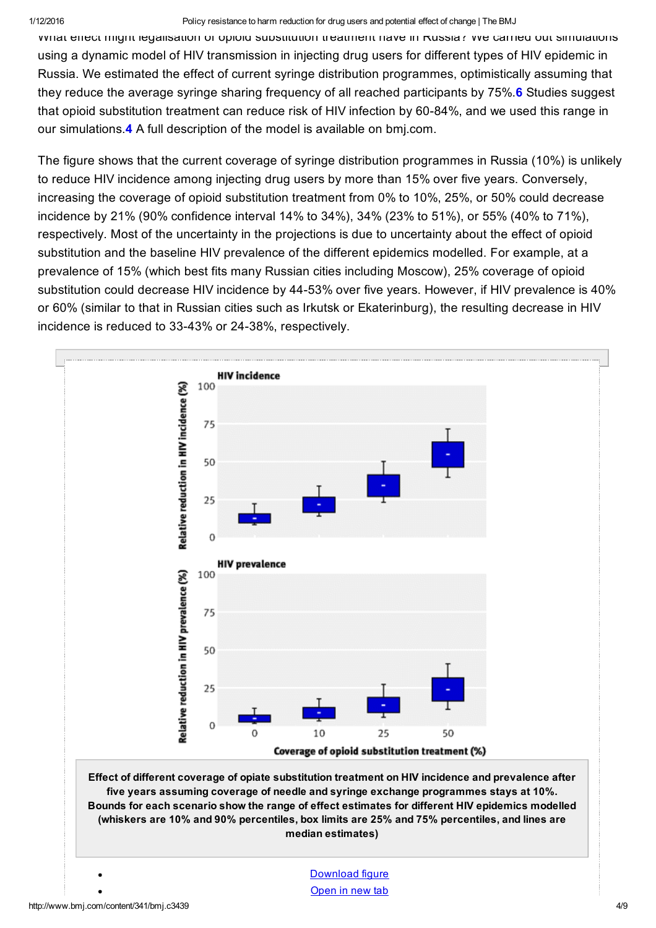#### 1/12/2016 Policy resistance to harm reduction for drug users and potential effect of change | The BMJ

What effect might legalisation of opioid substitution treatment have in Russia? We carried out simulations using a dynamic model of HIV transmission in injecting drug users for different types of HIV epidemic in Russia. We estimated the effect of current syringe distribution programmes, optimistically assuming that they reduce the average syringe sharing frequency of all reached participants by 75%.6 Studies suggest that opioid substitution treatment can reduce risk of HIV infection by 60-84%, and we used this range in our simulations.4 A full description of the model is available on bmj.com.

The figure shows that the current coverage of syringe distribution programmes in Russia (10%) is unlikely to reduce HIV incidence among injecting drug users by more than 15% over five years. Conversely, increasing the coverage of opioid substitution treatment from 0% to 10%, 25%, or 50% could decrease incidence by 21% (90% confidence interval 14% to 34%), 34% (23% to 51%), or 55% (40% to 71%), respectively. Most of the uncertainty in the projections is due to uncertainty about the effect of opioid substitution and the baseline HIV prevalence of the different epidemics modelled. For example, at a prevalence of 15% (which best fits many Russian cities including Moscow), 25% coverage of opioid substitution could decrease HIV incidence by 4453% over five years. However, if HIV prevalence is 40% or 60% (similar to that in Russian cities such as Irkutsk or Ekaterinburg), the resulting decrease in HIV incidence is reduced to 33-43% or 24-38%, respectively.

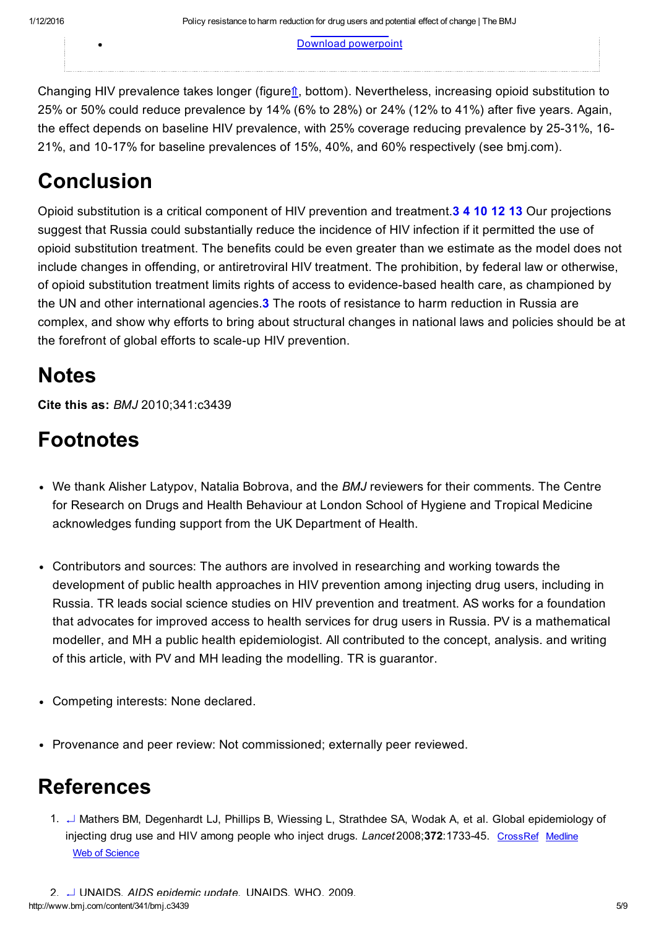[Open](http://static.www.bmj.com/content/bmj/341/bmj.c3439/F1.large.jpg) in new tab Download [powerpoint](http://www.bmj.com/highwire/powerpoint/591672)

Changing HIV prevalence takes longer (figure⇑, bottom). Nevertheless, increasing opioid substitution to 25% or 50% could reduce prevalence by 14% (6% to 28%) or 24% (12% to 41%) after five years. Again, the effect depends on baseline HIV prevalence, with 25% coverage reducing prevalence by 25-31%, 16-21%, and 10-17% for baseline prevalences of 15%, 40%, and 60% respectively (see bmj.com).

#### Conclusion

Opioid substitution is a critical component of HIV prevention and treatment.3 4 10 12 13 Our projections suggest that Russia could substantially reduce the incidence of HIV infection if it permitted the use of opioid substitution treatment. The benefits could be even greater than we estimate as the model does not include changes in offending, or antiretroviral HIV treatment. The prohibition, by federal law or otherwise, of opioid substitution treatment limits rights of access to evidence-based health care, as championed by the UN and other international agencies.<sup>3</sup> The roots of resistance to harm reduction in Russia are complex, and show why efforts to bring about structural changes in national laws and policies should be at the forefront of global efforts to scale-up HIV prevention.

### Notes

Cite this as: *BMJ* 2010;341:c3439

## Footnotes

- We thank Alisher Latypov, Natalia Bobrova, and the *BMJ* reviewers for their comments. The Centre for Research on Drugs and Health Behaviour at London School of Hygiene and Tropical Medicine acknowledges funding support from the UK Department of Health.
- Contributors and sources: The authors are involved in researching and working towards the development of public health approaches in HIV prevention among injecting drug users, including in Russia. TR leads social science studies on HIV prevention and treatment. AS works for a foundation that advocates for improved access to health services for drug users in Russia. PV is a mathematical modeller, and MH a public health epidemiologist. All contributed to the concept, analysis. and writing of this article, with PV and MH leading the modelling. TR is guarantor.
- Competing interests: None declared.
- Provenance and peer review: Not commissioned; externally peer reviewed.

### References

1. [↵](#page-0-0) Mathers BM, Degenhardt LJ, Phillips B, Wiessing L, Strathdee SA, Wodak A, et al. Global epidemiology of injecting drug use and HIV among people who inject drugs. *Lancet* 2008;372:1733-45. [CrossRef](http://www.bmj.com/lookup/external-ref?access_num=10.1016/S0140-6736(08)61311-2&link_type=DOI) [Medline](http://www.bmj.com/lookup/external-ref?access_num=18817968&link_type=MED&atom=%2Fbmj%2F341%2Fbmj.c3439.atom) Web of [Science](http://www.bmj.com/lookup/external-ref?access_num=000261077900023&link_type=ISI)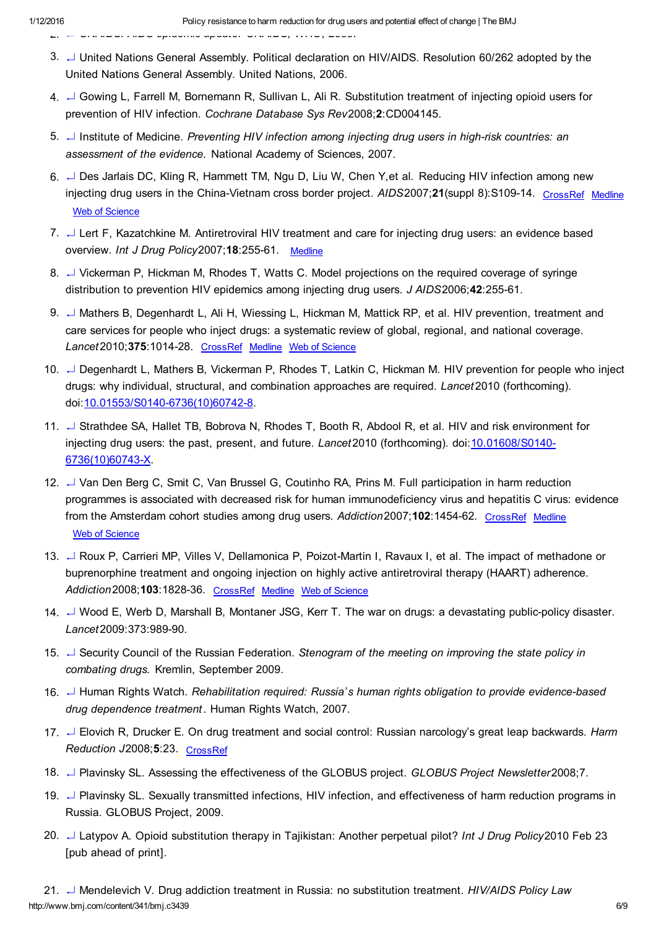- 2. [↵](#page-0-1) UNAIDS. *AIDS epidemic update.* UNAIDS, WHO, 2009.
- 3. [↵](#page-0-2) United Nations General Assembly. Political declaration on HIV/AIDS. Resolution 60/262 adopted by the United Nations General Assembly. United Nations, 2006.
- 4. [↵](#page-0-3) Gowing L, Farrell M, Bornemann R, Sullivan L, Ali R. Substitution treatment of injecting opioid users for prevention of HIV infection. *Cochrane Database Sys Rev*2008;2:CD004145.
- 5. [↵](#page-0-4) Institute of Medicine. *Preventing HIV infection among injecting drug users in highrisk countries: an assessment of the evidence.* National Academy of Sciences, 2007.
- 6. [↵](#page-0-5) Des Jarlais DC, Kling R, Hammett TM, Ngu D, Liu W, Chen Y,et al*.* Reducing HIV infection among new injecting drug users in the China-Vietnam cross border project. *AIDS2007;21(suppl 8):S109-14.* [CrossRef](http://www.bmj.com/lookup/external-ref?access_num=10.1097/01.aids.0000304705.79541.34&link_type=DOI) [Medline](http://www.bmj.com/lookup/external-ref?access_num=18172378&link_type=MED&atom=%2Fbmj%2F341%2Fbmj.c3439.atom) Web of [Science](http://www.bmj.com/lookup/external-ref?access_num=000252436500017&link_type=ISI)
- 7. [↵](#page-0-6) Lert F, Kazatchkine M. Antiretroviral HIV treatment and care for injecting drug users: an evidence based overview. *Int J Drug Policy*2007;18:25561. [Medline](http://www.bmj.com/lookup/external-ref?access_num=17689373&link_type=MED&atom=%2Fbmj%2F341%2Fbmj.c3439.atom)
- 8. [↵](#page-0-7) Vickerman P, Hickman M, Rhodes T, Watts C. Model projections on the required coverage of syringe distribution to prevention HIV epidemics among injecting drug users. *J AIDS*2006;42:25561.
- 9. [↵](#page-1-0) Mathers B, Degenhardt L, Ali H, Wiessing L, Hickman M, Mattick RP, et al. HIV prevention, treatment and care services for people who inject drugs: a systematic review of global, regional, and national coverage. Lancet 2010;375:1014-28. [CrossRef](http://www.bmj.com/lookup/external-ref?access_num=10.1016/S0140-6736(10)60232-2&link_type=DOI) [Medline](http://www.bmj.com/lookup/external-ref?access_num=20189638&link_type=MED&atom=%2Fbmj%2F341%2Fbmj.c3439.atom) Web of [Science](http://www.bmj.com/lookup/external-ref?access_num=000276110700034&link_type=ISI)
- 10. ↵ Degenhardt L, Mathers B, Vickerman P, Rhodes T, Latkin C, Hickman M. HIV prevention for people who inject drugs: why individual, structural, and combination approaches are required. *Lancet* 2010 (forthcoming). doi: 10.01553/S0140-6736(10)60742-8.
- 11. ↵ Strathdee SA, Hallet TB, Bobrova N, Rhodes T, Booth R, Abdool R, et al. HIV and risk environment for injecting drug users: the past, present, and future. *Lancet* 2010 (forthcoming). doi: 10.01608/S0140-6736(10)60743X.
- 12. ↵ Van Den Berg C, Smit C, Van Brussel G, Coutinho RA, Prins M. Full participation in harm reduction programmes is associated with decreased risk for human immunodeficiency virus and hepatitis C virus: evidence from the Amsterdam cohort studies among drug users. Addiction 2007;102:1454-62. [CrossRef](http://www.bmj.com/lookup/external-ref?access_num=10.1111/j.1360-0443.2007.01912.x&link_type=DOI) [Medline](http://www.bmj.com/lookup/external-ref?access_num=17697278&link_type=MED&atom=%2Fbmj%2F341%2Fbmj.c3439.atom) Web of [Science](http://www.bmj.com/lookup/external-ref?access_num=000248665800019&link_type=ISI)
- 13. → Roux P, Carrieri MP, Villes V, Dellamonica P, Poizot-Martin I, Ravaux I, et al. The impact of methadone or buprenorphine treatment and ongoing injection on highly active antiretroviral therapy (HAART) adherence. Addiction 2008; **103**: 1828-36. [CrossRef](http://www.bmj.com/lookup/external-ref?access_num=10.1111/j.1360-0443.2008.02323.x&link_type=DOI) [Medline](http://www.bmj.com/lookup/external-ref?access_num=18778390&link_type=MED&atom=%2Fbmj%2F341%2Fbmj.c3439.atom) Web of [Science](http://www.bmj.com/lookup/external-ref?access_num=000260130900012&link_type=ISI)
- 14. ↵ Wood E, Werb D, Marshall B, Montaner JSG, Kerr T. The war on drugs: a devastating publicpolicy disaster. Lancet 2009:373:989-90.
- 15. ↵ Security Council of the Russian Federation. *Stenogram of the meeting on improving the state policy in combating drugs.* Kremlin, September 2009.
- 16. ↵ Human Rights Watch. *Rehabilitation required: Russia*'*s human rights obligation to provide evidencebased drug dependence treatment* . Human Rights Watch, 2007.
- 17. ↵ Elovich R, Drucker E. On drug treatment and social control: Russian narcology's great leap backwards. *Harm Reduction J*2008;5:23. [CrossRef](http://www.bmj.com/lookup/external-ref?access_num=10.1186/1477-7517-5-23&link_type=DOI)
- 18. ↵ Plavinsky SL. Assessing the effectiveness of the GLOBUS project. *GLOBUS Project Newsletter*2008;7.
- 19. ↵ Plavinsky SL. Sexually transmitted infections, HIV infection, and effectiveness of harm reduction programs in Russia. GLOBUS Project, 2009.
- 20. ↵ Latypov A. Opioid substitution therapy in Tajikistan: Another perpetual pilot? *Int J Drug Policy*2010 Feb 23 [pub ahead of print].